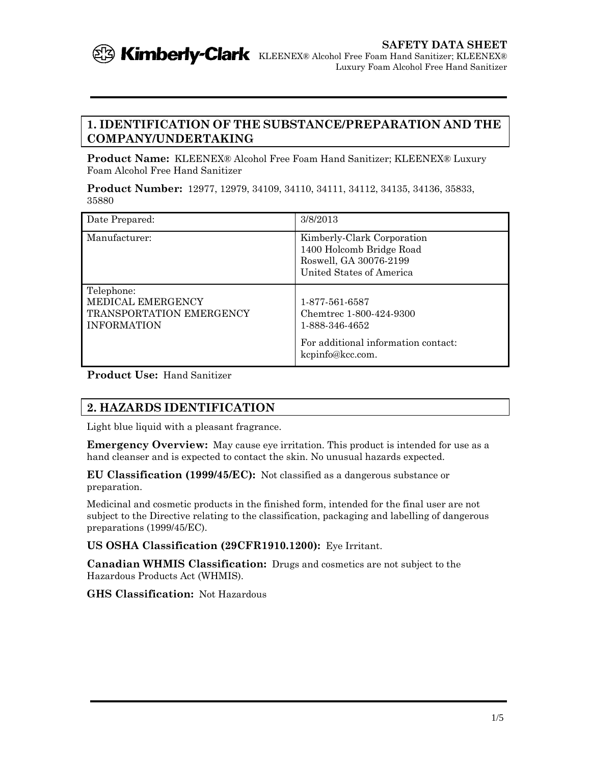

## **1. IDENTIFICATION OF THE SUBSTANCE/PREPARATION AND THE COMPANY/UNDERTAKING**

**Product Name:** KLEENEX® Alcohol Free Foam Hand Sanitizer; KLEENEX® Luxury Foam Alcohol Free Hand Sanitizer

**Product Number:** 12977, 12979, 34109, 34110, 34111, 34112, 34135, 34136, 35833, 35880

| Date Prepared:                                                                           | 3/8/2013                                                                                                               |
|------------------------------------------------------------------------------------------|------------------------------------------------------------------------------------------------------------------------|
| Manufacturer:                                                                            | Kimberly-Clark Corporation<br>1400 Holcomb Bridge Road<br>Roswell, GA 30076-2199<br>United States of America           |
| Telephone:<br>MEDICAL EMERGENCY<br><b>TRANSPORTATION EMERGENCY</b><br><b>INFORMATION</b> | 1-877-561-6587<br>Chemtrec 1-800-424-9300<br>1-888-346-4652<br>For additional information contact:<br>kcpinfo@kcc.com. |

**Product Use:** Hand Sanitizer

# **2. HAZARDS IDENTIFICATION**

Light blue liquid with a pleasant fragrance.

**Emergency Overview:** May cause eye irritation. This product is intended for use as a hand cleanser and is expected to contact the skin. No unusual hazards expected.

**EU Classification (1999/45/EC):** Not classified as a dangerous substance or preparation.

Medicinal and cosmetic products in the finished form, intended for the final user are not subject to the Directive relating to the classification, packaging and labelling of dangerous preparations (1999/45/EC).

**US OSHA Classification (29CFR1910.1200):** Eye Irritant.

**Canadian WHMIS Classification:** Drugs and cosmetics are not subject to the Hazardous Products Act (WHMIS).

**GHS Classification:** Not Hazardous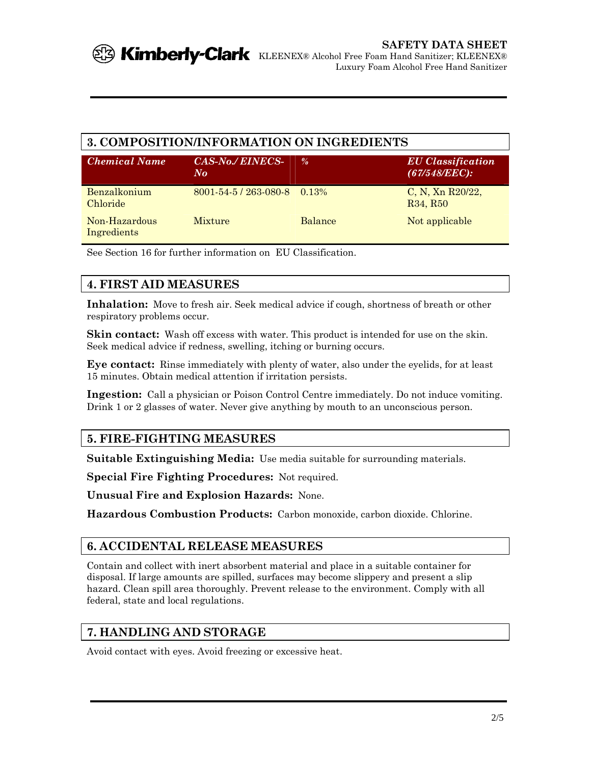## **3. COMPOSITION/INFORMATION ON INGREDIENTS**

| <b>Chemical Name</b>         | <b>CAS-No./ EINECS-</b><br>No            | $\frac{0}{a}$  | <b>EU</b> Classification<br>$(67/548/EEC)$ :             |
|------------------------------|------------------------------------------|----------------|----------------------------------------------------------|
| Benzalkonium<br>Chloride     | $8001 - 54 - 5 / 263 - 080 - 8 = 0.13\%$ |                | C, N, Xn $R20/22$ ,<br>R <sub>34</sub> , R <sub>50</sub> |
| Non-Hazardous<br>Ingredients | <b>Mixture</b>                           | <b>Balance</b> | Not applicable                                           |

See Section 16 for further information on EU Classification.

# **4. FIRST AID MEASURES**

**Inhalation:** Move to fresh air. Seek medical advice if cough, shortness of breath or other respiratory problems occur.

**Skin contact:** Wash off excess with water. This product is intended for use on the skin. Seek medical advice if redness, swelling, itching or burning occurs.

**Eye contact:** Rinse immediately with plenty of water, also under the eyelids, for at least 15 minutes. Obtain medical attention if irritation persists.

**Ingestion:** Call a physician or Poison Control Centre immediately. Do not induce vomiting. Drink 1 or 2 glasses of water. Never give anything by mouth to an unconscious person.

# **5. FIRE-FIGHTING MEASURES**

**Suitable Extinguishing Media:** Use media suitable for surrounding materials.

**Special Fire Fighting Procedures:** Not required.

**Unusual Fire and Explosion Hazards:** None.

**Hazardous Combustion Products:** Carbon monoxide, carbon dioxide. Chlorine.

## **6. ACCIDENTAL RELEASE MEASURES**

Contain and collect with inert absorbent material and place in a suitable container for disposal. If large amounts are spilled, surfaces may become slippery and present a slip hazard. Clean spill area thoroughly. Prevent release to the environment. Comply with all federal, state and local regulations.

# **7. HANDLING AND STORAGE**

Avoid contact with eyes. Avoid freezing or excessive heat.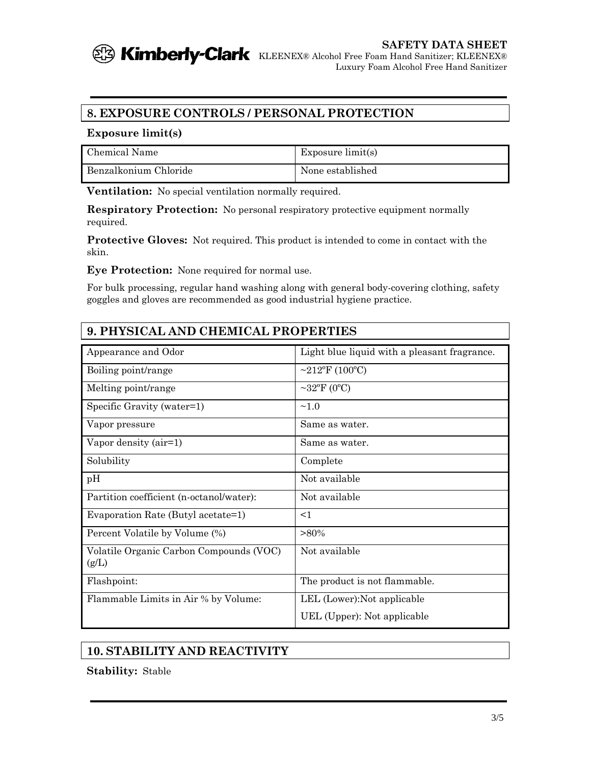

# **SAFETY DATA SHEET**

Luxury Foam Alcohol Free Hand Sanitizer

# **8. EXPOSURE CONTROLS / PERSONAL PROTECTION**

#### **Exposure limit(s)**

| Chemical Name         | Exposure $limit(s)$ |
|-----------------------|---------------------|
| Benzalkonium Chloride | None established    |

**Ventilation:** No special ventilation normally required.

**Respiratory Protection:** No personal respiratory protective equipment normally required.

**Protective Gloves:** Not required. This product is intended to come in contact with the skin.

**Eye Protection:** None required for normal use.

For bulk processing, regular hand washing along with general body-covering clothing, safety goggles and gloves are recommended as good industrial hygiene practice.

| 9. PHYSICAL AND CHEMICAL PROPERTIES              |                                              |  |
|--------------------------------------------------|----------------------------------------------|--|
| Appearance and Odor                              | Light blue liquid with a pleasant fragrance. |  |
| Boiling point/range                              | ~212°F (100°C)                               |  |
| Melting point/range                              | $\sim$ 32°F (0°C)                            |  |
| Specific Gravity (water=1)                       | ~1.0                                         |  |
| Vapor pressure                                   | Same as water.                               |  |
| Vapor density (air=1)                            | Same as water.                               |  |
| Solubility                                       | Complete                                     |  |
| pH                                               | Not available                                |  |
| Partition coefficient (n-octanol/water):         | Not available                                |  |
| Evaporation Rate (Butyl acetate=1)               | $<$ 1                                        |  |
| Percent Volatile by Volume (%)                   | $>80\%$                                      |  |
| Volatile Organic Carbon Compounds (VOC)<br>(g/L) | Not available                                |  |
| Flashpoint:                                      | The product is not flammable.                |  |
| Flammable Limits in Air % by Volume:             | LEL (Lower): Not applicable                  |  |
|                                                  | UEL (Upper): Not applicable                  |  |

# **10. STABILITY AND REACTIVITY**

**Stability:** Stable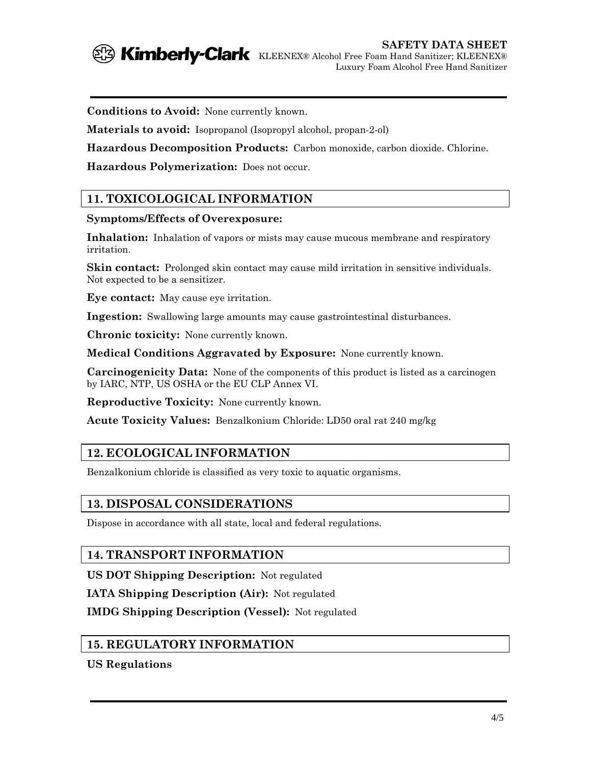

**SAFETY DATA SHEET Kimberly-Clark** KLEENEX® Alcohol Free Foam Hand Sanitizer; KLEENEX® Luxury Foam Alcohol Free Hand Sanitizer

**Conditions to Avoid:** None currently known.

**Materials to avoid:** Isopropanol (Isopropyl alcohol, propan-2-ol)

**Hazardous Decomposition Products:** Carbon monoxide, carbon dioxide. Chlorine.

**Hazardous Polymerization:** Does not occur.

## **11. TOXICOLOGICAL INFORMATION**

#### **Symptoms/Effects of Overexposure:**

**Inhalation:** Inhalation of vapors or mists may cause mucous membrane and respiratory irritation.

**Skin contact:** Prolonged skin contact may cause mild irritation in sensitive individuals. Not expected to be a sensitizer.

**Eye contact:** May cause eye irritation.

**Ingestion:** Swallowing large amounts may cause gastrointestinal disturbances.

**Chronic toxicity:** None currently known.

**Medical Conditions Aggravated by Exposure:** None currently known.

**Carcinogenicity Data:** None of the components of this product is listed as a carcinogen by IARC, NTP, US OSHA or the EU CLP Annex VI.

**Reproductive Toxicity:** None currently known.

**Acute Toxicity Values:** Benzalkonium Chloride: LD50 oral rat 240 mg/kg

## **12. ECOLOGICAL INFORMATION**

Benzalkonium chloride is classified as very toxic to aquatic organisms.

#### **13. DISPOSAL CONSIDERATIONS**

Dispose in accordance with all state, local and federal regulations.

#### **14. TRANSPORT INFORMATION**

**US DOT Shipping Description:** Not regulated

**IATA Shipping Description (Air):** Not regulated

**IMDG Shipping Description (Vessel):** Not regulated

## **15. REGULATORY INFORMATION**

**US Regulations**